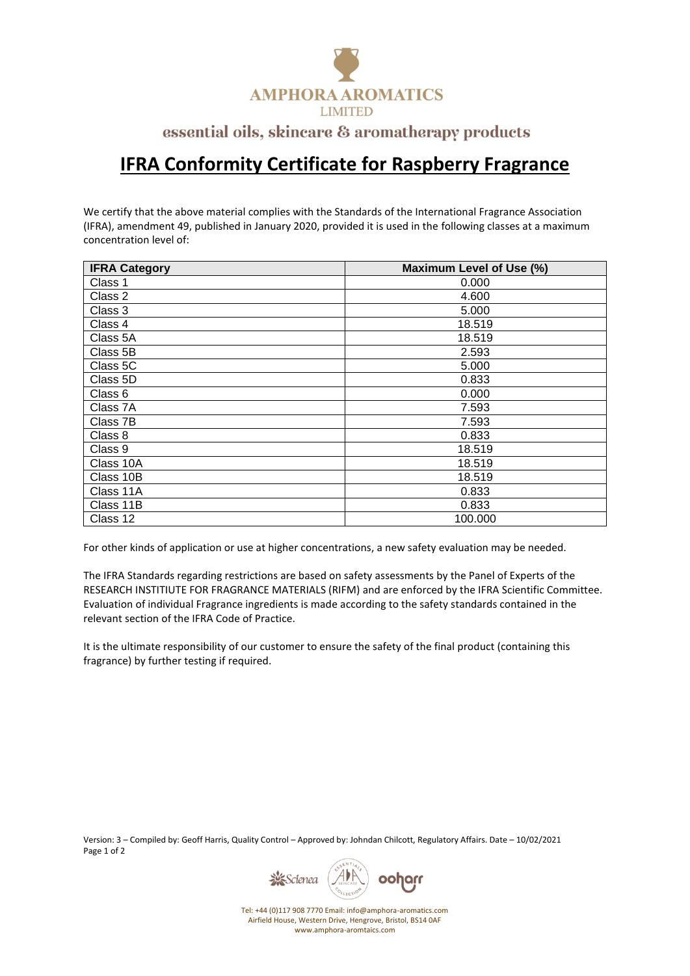

## essential oils, skincare & aromatherapy products

## **IFRA Conformity Certificate for Raspberry Fragrance**

We certify that the above material complies with the Standards of the International Fragrance Association (IFRA), amendment 49, published in January 2020, provided it is used in the following classes at a maximum concentration level of:

| <b>IFRA Category</b> | Maximum Level of Use (%) |
|----------------------|--------------------------|
| Class 1              | 0.000                    |
| Class 2              | 4.600                    |
| Class 3              | 5.000                    |
| Class 4              | 18.519                   |
| Class 5A             | 18.519                   |
| Class 5B             | 2.593                    |
| Class 5C             | 5.000                    |
| Class 5D             | 0.833                    |
| Class 6              | 0.000                    |
| Class 7A             | 7.593                    |
| Class 7B             | 7.593                    |
| Class 8              | 0.833                    |
| Class 9              | 18.519                   |
| Class 10A            | 18.519                   |
| Class 10B            | 18.519                   |
| Class 11A            | 0.833                    |
| Class 11B            | 0.833                    |
| Class 12             | 100.000                  |

For other kinds of application or use at higher concentrations, a new safety evaluation may be needed.

The IFRA Standards regarding restrictions are based on safety assessments by the Panel of Experts of the RESEARCH INSTITIUTE FOR FRAGRANCE MATERIALS (RIFM) and are enforced by the IFRA Scientific Committee. Evaluation of individual Fragrance ingredients is made according to the safety standards contained in the relevant section of the IFRA Code of Practice.

It is the ultimate responsibility of our customer to ensure the safety of the final product (containing this fragrance) by further testing if required.

Version: 3 – Compiled by: Geoff Harris, Quality Control – Approved by: Johndan Chilcott, Regulatory Affairs. Date – 10/02/2021 Page 1 of 2



Tel: +44 (0)117 908 7770 Email: info@amphora-aromatics.com Airfield House, Western Drive, Hengrove, Bristol, BS14 0AF www.amphora-aromtaics.com